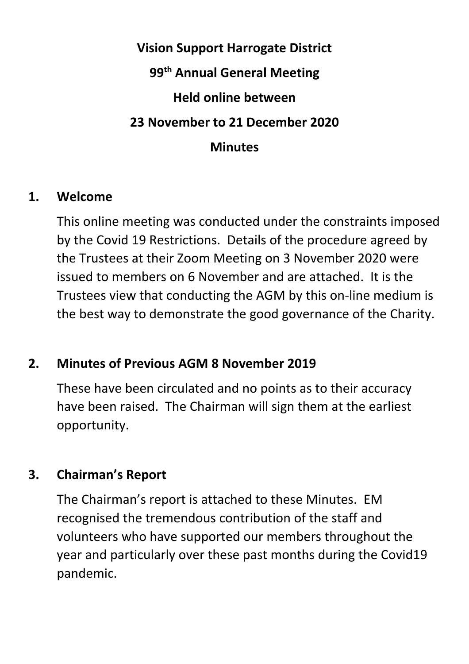# **Vision Support Harrogate District 99th Annual General Meeting Held online between 23 November to 21 December 2020 Minutes**

#### **1. Welcome**

This online meeting was conducted under the constraints imposed by the Covid 19 Restrictions. Details of the procedure agreed by the Trustees at their Zoom Meeting on 3 November 2020 were issued to members on 6 November and are attached. It is the Trustees view that conducting the AGM by this on-line medium is the best way to demonstrate the good governance of the Charity.

# **2. Minutes of Previous AGM 8 November 2019**

These have been circulated and no points as to their accuracy have been raised. The Chairman will sign them at the earliest opportunity.

#### **3. Chairman's Report**

The Chairman's report is attached to these Minutes. EM recognised the tremendous contribution of the staff and volunteers who have supported our members throughout the year and particularly over these past months during the Covid19 pandemic.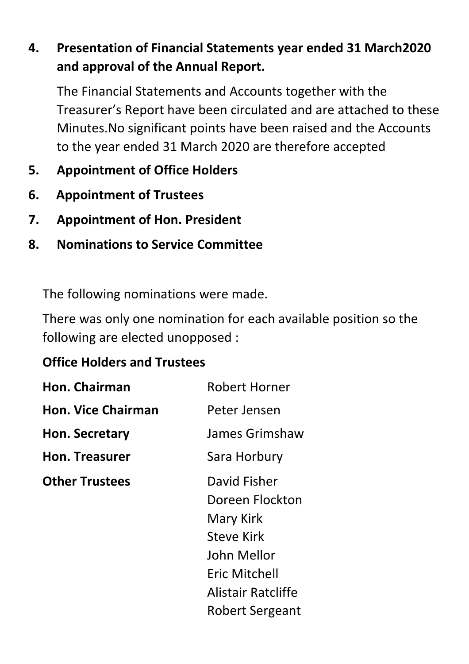# **4. Presentation of Financial Statements year ended 31 March2020 and approval of the Annual Report.**

The Financial Statements and Accounts together with the Treasurer's Report have been circulated and are attached to these Minutes.No significant points have been raised and the Accounts to the year ended 31 March 2020 are therefore accepted

- **5. Appointment of Office Holders**
- **6. Appointment of Trustees**
- **7. Appointment of Hon. President**
- **8. Nominations to Service Committee**

The following nominations were made.

There was only one nomination for each available position so the following are elected unopposed :

# **Office Holders and Trustees**

| Hon. Chairman             | <b>Robert Horner</b>                                                                                                                       |
|---------------------------|--------------------------------------------------------------------------------------------------------------------------------------------|
| <b>Hon. Vice Chairman</b> | Peter Jensen                                                                                                                               |
| Hon. Secretary            | James Grimshaw                                                                                                                             |
| <b>Hon. Treasurer</b>     | Sara Horbury                                                                                                                               |
| <b>Other Trustees</b>     | David Fisher<br>Doreen Flockton<br>Mary Kirk<br><b>Steve Kirk</b><br>John Mellor<br>Eric Mitchell<br>Alistair Ratcliffe<br>Robert Sergeant |